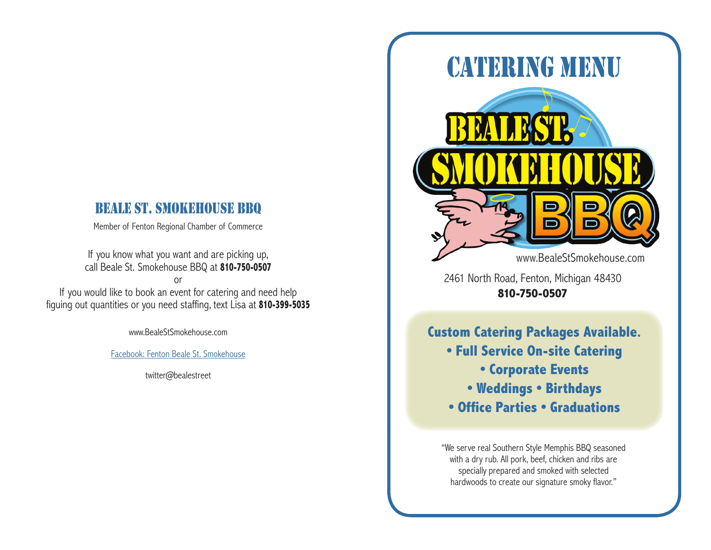## BEALE ST. SMOKEHOUSE BBQ

Member of Fenton Regional Chamber of Commerce

If you know what you want and are picking up, call Beale St. Smokehouse BBQ at **810-750-0507**

or

If you would like to book an event for catering and need help figuing out quantities or you need staffing, text Lisa at **810-399-5035**

www.BealeStSmokehouse.com

#### Facebook: Fenton Beale St. Smokehouse

twitter@bealestreet



2461 North Road, Fenton, Michigan 48430 **810-750-0507**

**Custom Catering Packages Available. • Full Service On-site Catering • Corporate Events • Weddings • Birthdays • Office Parties • Graduations** 

"We serve real Southern Style Memphis BBQ seasoned with a dry rub. All pork, beef, chicken and ribs are specially prepared and smoked with selected hardwoods to create our signature smoky flavor."